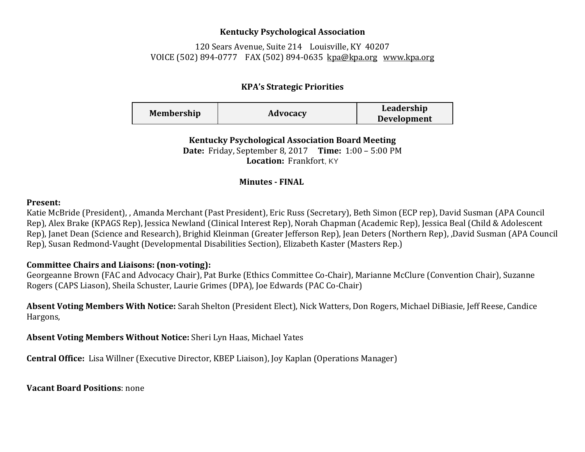### **Kentucky Psychological Association**

120 Sears Avenue, Suite 214 Louisville, KY 40207 VOICE (502) 894-0777 FAX (502) 894-0635 [kpa@kpa.org](mailto:kpa@kih.net) [www.kpa.org](http://www.kpa.org/)

# **KPA's Strategic Priorities**

| <b>Membership</b> | Advocacy | Leadership         |
|-------------------|----------|--------------------|
|                   |          | <b>Development</b> |

**Kentucky Psychological Association Board Meeting Date:** Friday, September 8, 2017 **Time:** 1:00 – 5:00 PM **Location:** Frankfort, KY

### **Minutes - FINAL**

#### **Present:**

Katie McBride (President), , Amanda Merchant (Past President), Eric Russ (Secretary), Beth Simon (ECP rep), David Susman (APA Council Rep), Alex Brake (KPAGS Rep), Jessica Newland (Clinical Interest Rep), Norah Chapman (Academic Rep), Jessica Beal (Child & Adolescent Rep), Janet Dean (Science and Research), Brighid Kleinman (Greater Jefferson Rep), Jean Deters (Northern Rep), ,David Susman (APA Council Rep), Susan Redmond-Vaught (Developmental Disabilities Section), Elizabeth Kaster (Masters Rep.)

## **Committee Chairs and Liaisons: (non-voting):**

Georgeanne Brown (FAC and Advocacy Chair), Pat Burke (Ethics Committee Co-Chair), Marianne McClure (Convention Chair), Suzanne Rogers (CAPS Liason), Sheila Schuster, Laurie Grimes (DPA), Joe Edwards (PAC Co-Chair)

**Absent Voting Members With Notice:** Sarah Shelton (President Elect), Nick Watters, Don Rogers, Michael DiBiasie, Jeff Reese, Candice Hargons,

**Absent Voting Members Without Notice:** Sheri Lyn Haas, Michael Yates

**Central Office:** Lisa Willner (Executive Director, KBEP Liaison), Joy Kaplan (Operations Manager)

**Vacant Board Positions**: none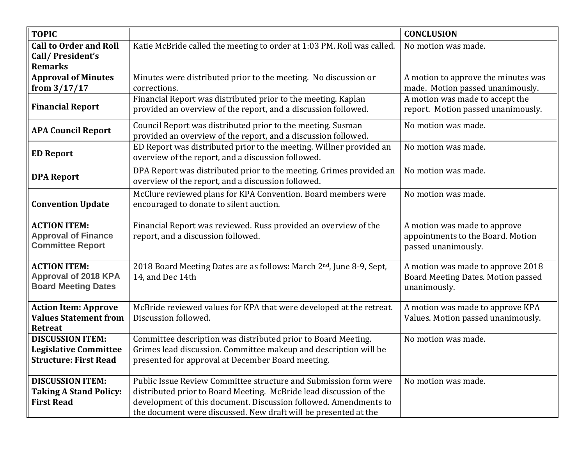| <b>TOPIC</b>                                                                            |                                                                                                                                                                                                                                                                               | <b>CONCLUSION</b>                                                                        |
|-----------------------------------------------------------------------------------------|-------------------------------------------------------------------------------------------------------------------------------------------------------------------------------------------------------------------------------------------------------------------------------|------------------------------------------------------------------------------------------|
| <b>Call to Order and Roll</b><br>Call/President's<br><b>Remarks</b>                     | Katie McBride called the meeting to order at 1:03 PM. Roll was called.                                                                                                                                                                                                        | No motion was made.                                                                      |
| <b>Approval of Minutes</b><br>from $3/17/17$                                            | Minutes were distributed prior to the meeting. No discussion or<br>corrections.                                                                                                                                                                                               | A motion to approve the minutes was<br>made. Motion passed unanimously.                  |
| <b>Financial Report</b>                                                                 | Financial Report was distributed prior to the meeting. Kaplan<br>provided an overview of the report, and a discussion followed.                                                                                                                                               | A motion was made to accept the<br>report. Motion passed unanimously.                    |
| <b>APA Council Report</b>                                                               | Council Report was distributed prior to the meeting. Susman<br>provided an overview of the report, and a discussion followed.                                                                                                                                                 | No motion was made.                                                                      |
| <b>ED Report</b>                                                                        | ED Report was distributed prior to the meeting. Willner provided an<br>overview of the report, and a discussion followed.                                                                                                                                                     | No motion was made.                                                                      |
| <b>DPA Report</b>                                                                       | DPA Report was distributed prior to the meeting. Grimes provided an<br>overview of the report, and a discussion followed.                                                                                                                                                     | No motion was made.                                                                      |
| <b>Convention Update</b>                                                                | McClure reviewed plans for KPA Convention. Board members were<br>encouraged to donate to silent auction.                                                                                                                                                                      | No motion was made.                                                                      |
| <b>ACTION ITEM:</b><br><b>Approval of Finance</b><br><b>Committee Report</b>            | Financial Report was reviewed. Russ provided an overview of the<br>report, and a discussion followed.                                                                                                                                                                         | A motion was made to approve<br>appointments to the Board. Motion<br>passed unanimously. |
| <b>ACTION ITEM:</b><br><b>Approval of 2018 KPA</b><br><b>Board Meeting Dates</b>        | 2018 Board Meeting Dates are as follows: March 2nd, June 8-9, Sept,<br>14, and Dec 14th                                                                                                                                                                                       | A motion was made to approve 2018<br>Board Meeting Dates. Motion passed<br>unanimously.  |
| <b>Action Item: Approve</b><br><b>Values Statement from</b><br><b>Retreat</b>           | McBride reviewed values for KPA that were developed at the retreat.<br>Discussion followed.                                                                                                                                                                                   | A motion was made to approve KPA<br>Values. Motion passed unanimously.                   |
| <b>DISCUSSION ITEM:</b><br><b>Legislative Committee</b><br><b>Structure: First Read</b> | Committee description was distributed prior to Board Meeting.<br>Grimes lead discussion. Committee makeup and description will be<br>presented for approval at December Board meeting.                                                                                        | No motion was made.                                                                      |
| <b>DISCUSSION ITEM:</b><br><b>Taking A Stand Policy:</b><br><b>First Read</b>           | Public Issue Review Committee structure and Submission form were<br>distributed prior to Board Meeting. McBride lead discussion of the<br>development of this document. Discussion followed. Amendments to<br>the document were discussed. New draft will be presented at the | No motion was made.                                                                      |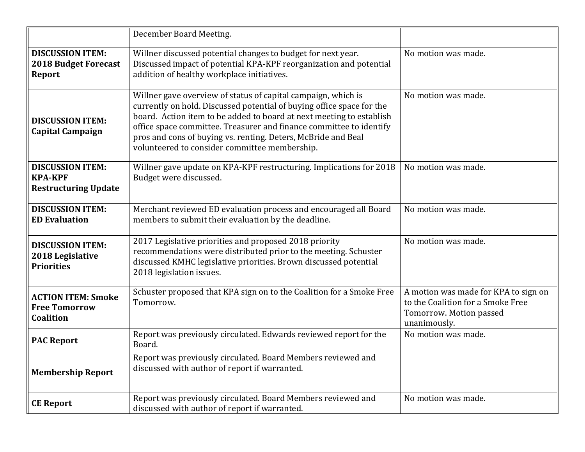|                                                                          | December Board Meeting.                                                                                                                                                                                                                                                                                                                                                                                 |                                                                                                                      |
|--------------------------------------------------------------------------|---------------------------------------------------------------------------------------------------------------------------------------------------------------------------------------------------------------------------------------------------------------------------------------------------------------------------------------------------------------------------------------------------------|----------------------------------------------------------------------------------------------------------------------|
| <b>DISCUSSION ITEM:</b><br><b>2018 Budget Forecast</b><br><b>Report</b>  | Willner discussed potential changes to budget for next year.<br>Discussed impact of potential KPA-KPF reorganization and potential<br>addition of healthy workplace initiatives.                                                                                                                                                                                                                        | No motion was made.                                                                                                  |
| <b>DISCUSSION ITEM:</b><br><b>Capital Campaign</b>                       | Willner gave overview of status of capital campaign, which is<br>currently on hold. Discussed potential of buying office space for the<br>board. Action item to be added to board at next meeting to establish<br>office space committee. Treasurer and finance committee to identify<br>pros and cons of buying vs. renting. Deters, McBride and Beal<br>volunteered to consider committee membership. | No motion was made.                                                                                                  |
| <b>DISCUSSION ITEM:</b><br><b>KPA-KPF</b><br><b>Restructuring Update</b> | Willner gave update on KPA-KPF restructuring. Implications for 2018<br>Budget were discussed.                                                                                                                                                                                                                                                                                                           | No motion was made.                                                                                                  |
| <b>DISCUSSION ITEM:</b><br><b>ED Evaluation</b>                          | Merchant reviewed ED evaluation process and encouraged all Board<br>members to submit their evaluation by the deadline.                                                                                                                                                                                                                                                                                 | No motion was made.                                                                                                  |
| <b>DISCUSSION ITEM:</b><br>2018 Legislative<br><b>Priorities</b>         | 2017 Legislative priorities and proposed 2018 priority<br>recommendations were distributed prior to the meeting. Schuster<br>discussed KMHC legislative priorities. Brown discussed potential<br>2018 legislation issues.                                                                                                                                                                               | No motion was made.                                                                                                  |
| <b>ACTION ITEM: Smoke</b><br><b>Free Tomorrow</b><br>Coalition           | Schuster proposed that KPA sign on to the Coalition for a Smoke Free<br>Tomorrow.                                                                                                                                                                                                                                                                                                                       | A motion was made for KPA to sign on<br>to the Coalition for a Smoke Free<br>Tomorrow. Motion passed<br>unanimously. |
| <b>PAC Report</b>                                                        | Report was previously circulated. Edwards reviewed report for the<br>Board.                                                                                                                                                                                                                                                                                                                             | No motion was made.                                                                                                  |
| <b>Membership Report</b>                                                 | Report was previously circulated. Board Members reviewed and<br>discussed with author of report if warranted.                                                                                                                                                                                                                                                                                           |                                                                                                                      |
| <b>CE Report</b>                                                         | Report was previously circulated. Board Members reviewed and<br>discussed with author of report if warranted.                                                                                                                                                                                                                                                                                           | No motion was made.                                                                                                  |